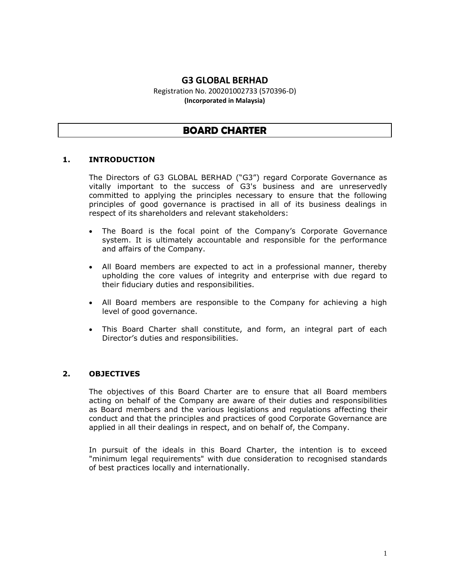# **G3 GLOBAL BERHAD**

Registration No. 200201002733 (570396-D) **(Incorporated in Malaysia)**

# **BOARD CHARTER**

### **1. INTRODUCTION**

The Directors of G3 GLOBAL BERHAD ("G3") regard Corporate Governance as vitally important to the success of G3's business and are unreservedly committed to applying the principles necessary to ensure that the following principles of good governance is practised in all of its business dealings in respect of its shareholders and relevant stakeholders:

- The Board is the focal point of the Company's Corporate Governance system. It is ultimately accountable and responsible for the performance and affairs of the Company.
- All Board members are expected to act in a professional manner, thereby upholding the core values of integrity and enterprise with due regard to their fiduciary duties and responsibilities.
- All Board members are responsible to the Company for achieving a high level of good governance.
- This Board Charter shall constitute, and form, an integral part of each Director's duties and responsibilities.

# **2. OBJECTIVES**

The objectives of this Board Charter are to ensure that all Board members acting on behalf of the Company are aware of their duties and responsibilities as Board members and the various legislations and regulations affecting their conduct and that the principles and practices of good Corporate Governance are applied in all their dealings in respect, and on behalf of, the Company.

In pursuit of the ideals in this Board Charter, the intention is to exceed "minimum legal requirements" with due consideration to recognised standards of best practices locally and internationally.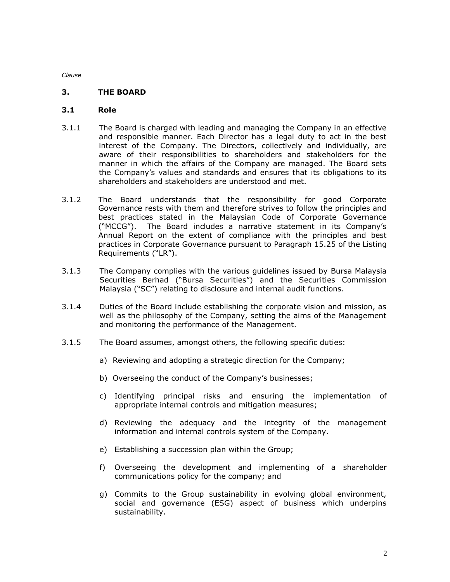#### **3. THE BOARD**

#### **3.1 Role**

- 3.1.1 The Board is charged with leading and managing the Company in an effective and responsible manner. Each Director has a legal duty to act in the best interest of the Company. The Directors, collectively and individually, are aware of their responsibilities to shareholders and stakeholders for the manner in which the affairs of the Company are managed. The Board sets the Company's values and standards and ensures that its obligations to its shareholders and stakeholders are understood and met.
- 3.1.2 The Board understands that the responsibility for good Corporate Governance rests with them and therefore strives to follow the principles and best practices stated in the Malaysian Code of Corporate Governance ("MCCG"). The Board includes a narrative statement in its Company's Annual Report on the extent of compliance with the principles and best practices in Corporate Governance pursuant to Paragraph 15.25 of the Listing Requirements ("LR").
- 3.1.3 The Company complies with the various guidelines issued by Bursa Malaysia Securities Berhad ("Bursa Securities") and the Securities Commission Malaysia ("SC") relating to disclosure and internal audit functions.
- 3.1.4 Duties of the Board include establishing the corporate vision and mission, as well as the philosophy of the Company, setting the aims of the Management and monitoring the performance of the Management.
- 3.1.5 The Board assumes, amongst others, the following specific duties:
	- a) Reviewing and adopting a strategic direction for the Company;
	- b) Overseeing the conduct of the Company's businesses;
	- c) Identifying principal risks and ensuring the implementation of appropriate internal controls and mitigation measures;
	- d) Reviewing the adequacy and the integrity of the management information and internal controls system of the Company.
	- e) Establishing a succession plan within the Group;
	- f) Overseeing the development and implementing of a shareholder communications policy for the company; and
	- g) Commits to the Group sustainability in evolving global environment, social and governance (ESG) aspect of business which underpins sustainability.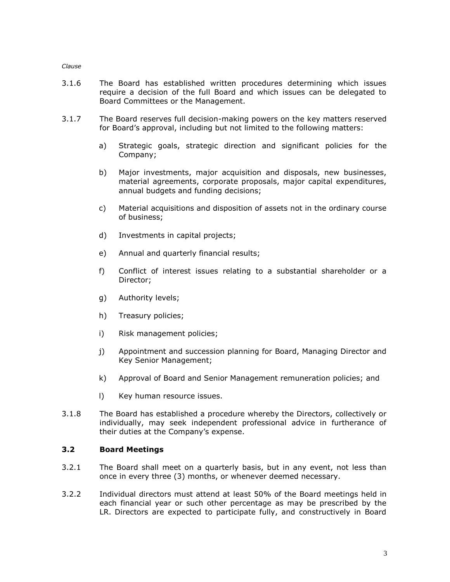- 3.1.6 The Board has established written procedures determining which issues require a decision of the full Board and which issues can be delegated to Board Committees or the Management.
- 3.1.7 The Board reserves full decision-making powers on the key matters reserved for Board's approval, including but not limited to the following matters:
	- a) Strategic goals, strategic direction and significant policies for the Company;
	- b) Major investments, major acquisition and disposals, new businesses, material agreements, corporate proposals, major capital expenditures, annual budgets and funding decisions;
	- c) Material acquisitions and disposition of assets not in the ordinary course of business;
	- d) Investments in capital projects;
	- e) Annual and quarterly financial results;
	- f) Conflict of interest issues relating to a substantial shareholder or a Director;
	- g) Authority levels;
	- h) Treasury policies;
	- i) Risk management policies;
	- j) Appointment and succession planning for Board, Managing Director and Key Senior Management;
	- k) Approval of Board and Senior Management remuneration policies; and
	- l) Key human resource issues.
- 3.1.8 The Board has established a procedure whereby the Directors, collectively or individually, may seek independent professional advice in furtherance of their duties at the Company's expense.

### **3.2 Board Meetings**

- 3.2.1 The Board shall meet on a quarterly basis, but in any event, not less than once in every three (3) months, or whenever deemed necessary.
- 3.2.2 Individual directors must attend at least 50% of the Board meetings held in each financial year or such other percentage as may be prescribed by the LR. Directors are expected to participate fully, and constructively in Board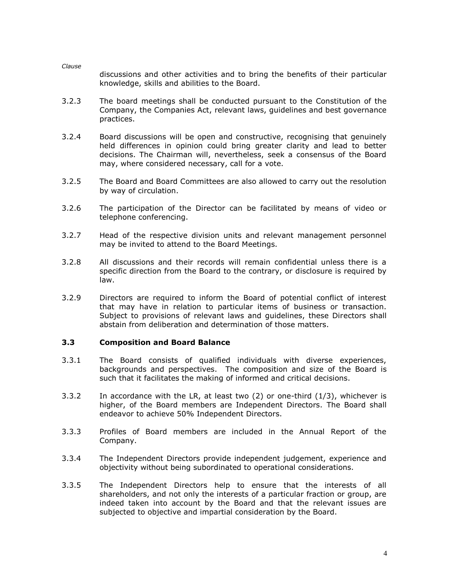*Clause* discussions and other activities and to bring the benefits of their particular knowledge, skills and abilities to the Board.

- 3.2.3 The board meetings shall be conducted pursuant to the Constitution of the Company, the Companies Act, relevant laws, guidelines and best governance practices.
- 3.2.4 Board discussions will be open and constructive, recognising that genuinely held differences in opinion could bring greater clarity and lead to better decisions. The Chairman will, nevertheless, seek a consensus of the Board may, where considered necessary, call for a vote.
- 3.2.5 The Board and Board Committees are also allowed to carry out the resolution by way of circulation.
- 3.2.6 The participation of the Director can be facilitated by means of video or telephone conferencing.
- 3.2.7 Head of the respective division units and relevant management personnel may be invited to attend to the Board Meetings.
- 3.2.8 All discussions and their records will remain confidential unless there is a specific direction from the Board to the contrary, or disclosure is required by law.
- 3.2.9 Directors are required to inform the Board of potential conflict of interest that may have in relation to particular items of business or transaction. Subject to provisions of relevant laws and guidelines, these Directors shall abstain from deliberation and determination of those matters.

### **3.3 Composition and Board Balance**

- 3.3.1 The Board consists of qualified individuals with diverse experiences, backgrounds and perspectives. The composition and size of the Board is such that it facilitates the making of informed and critical decisions.
- 3.3.2 In accordance with the LR, at least two (2) or one-third (1/3), whichever is higher, of the Board members are Independent Directors. The Board shall endeavor to achieve 50% Independent Directors.
- 3.3.3 Profiles of Board members are included in the Annual Report of the Company.
- 3.3.4 The Independent Directors provide independent judgement, experience and objectivity without being subordinated to operational considerations.
- 3.3.5 The Independent Directors help to ensure that the interests of all shareholders, and not only the interests of a particular fraction or group, are indeed taken into account by the Board and that the relevant issues are subjected to objective and impartial consideration by the Board.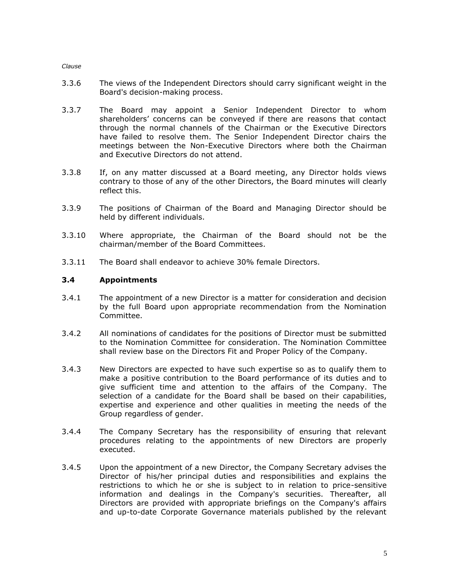- 3.3.6 The views of the Independent Directors should carry significant weight in the Board's decision-making process.
- 3.3.7 The Board may appoint a Senior Independent Director to whom shareholders' concerns can be conveyed if there are reasons that contact through the normal channels of the Chairman or the Executive Directors have failed to resolve them. The Senior Independent Director chairs the meetings between the Non-Executive Directors where both the Chairman and Executive Directors do not attend.
- 3.3.8 If, on any matter discussed at a Board meeting, any Director holds views contrary to those of any of the other Directors, the Board minutes will clearly reflect this.
- 3.3.9 The positions of Chairman of the Board and Managing Director should be held by different individuals.
- 3.3.10 Where appropriate, the Chairman of the Board should not be the chairman/member of the Board Committees.
- 3.3.11 The Board shall endeavor to achieve 30% female Directors.

### **3.4 Appointments**

- 3.4.1 The appointment of a new Director is a matter for consideration and decision by the full Board upon appropriate recommendation from the Nomination Committee.
- 3.4.2 All nominations of candidates for the positions of Director must be submitted to the Nomination Committee for consideration. The Nomination Committee shall review base on the Directors Fit and Proper Policy of the Company.
- 3.4.3 New Directors are expected to have such expertise so as to qualify them to make a positive contribution to the Board performance of its duties and to give sufficient time and attention to the affairs of the Company. The selection of a candidate for the Board shall be based on their capabilities, expertise and experience and other qualities in meeting the needs of the Group regardless of gender.
- 3.4.4 The Company Secretary has the responsibility of ensuring that relevant procedures relating to the appointments of new Directors are properly executed.
- 3.4.5 Upon the appointment of a new Director, the Company Secretary advises the Director of his/her principal duties and responsibilities and explains the restrictions to which he or she is subject to in relation to price-sensitive information and dealings in the Company's securities. Thereafter, all Directors are provided with appropriate briefings on the Company's affairs and up-to-date Corporate Governance materials published by the relevant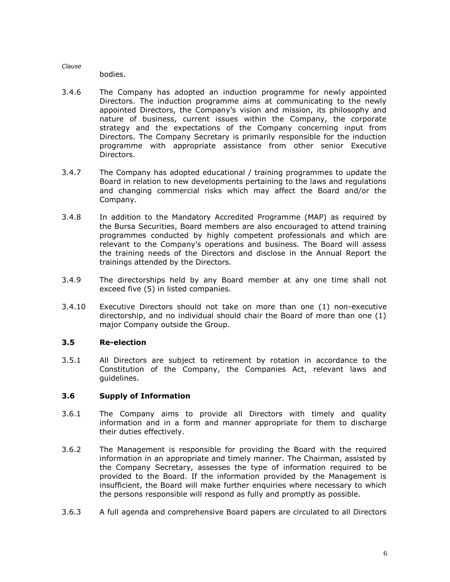bodies.

- 3.4.6 The Company has adopted an induction programme for newly appointed Directors. The induction programme aims at communicating to the newly appointed Directors, the Company's vision and mission, its philosophy and nature of business, current issues within the Company, the corporate strategy and the expectations of the Company concerning input from Directors. The Company Secretary is primarily responsible for the induction programme with appropriate assistance from other senior Executive Directors.
- 3.4.7 The Company has adopted educational / training programmes to update the Board in relation to new developments pertaining to the laws and regulations and changing commercial risks which may affect the Board and/or the Company.
- 3.4.8 In addition to the Mandatory Accredited Programme (MAP) as required by the Bursa Securities, Board members are also encouraged to attend training programmes conducted by highly competent professionals and which are relevant to the Company's operations and business. The Board will assess the training needs of the Directors and disclose in the Annual Report the trainings attended by the Directors.
- 3.4.9 The directorships held by any Board member at any one time shall not exceed five (5) in listed companies.
- 3.4.10 Executive Directors should not take on more than one (1) non-executive directorship, and no individual should chair the Board of more than one (1) major Company outside the Group.

# **3.5 Re-election**

3.5.1 All Directors are subject to retirement by rotation in accordance to the Constitution of the Company, the Companies Act, relevant laws and guidelines.

# **3.6 Supply of Information**

- 3.6.1 The Company aims to provide all Directors with timely and quality information and in a form and manner appropriate for them to discharge their duties effectively.
- 3.6.2 The Management is responsible for providing the Board with the required information in an appropriate and timely manner. The Chairman, assisted by the Company Secretary, assesses the type of information required to be provided to the Board. If the information provided by the Management is insufficient, the Board will make further enquiries where necessary to which the persons responsible will respond as fully and promptly as possible.
- 3.6.3 A full agenda and comprehensive Board papers are circulated to all Directors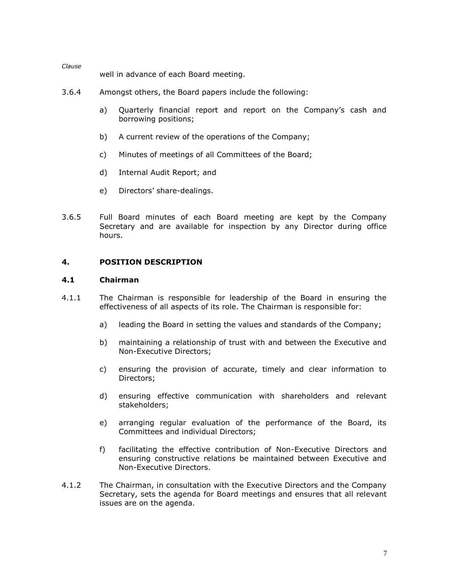well in advance of each Board meeting.

- 3.6.4 Amongst others, the Board papers include the following:
	- a) Quarterly financial report and report on the Company's cash and borrowing positions;
	- b) A current review of the operations of the Company;
	- c) Minutes of meetings of all Committees of the Board;
	- d) Internal Audit Report; and
	- e) Directors' share-dealings.
- 3.6.5 Full Board minutes of each Board meeting are kept by the Company Secretary and are available for inspection by any Director during office hours.

#### **4. POSITION DESCRIPTION**

### **4.1 Chairman**

- 4.1.1 The Chairman is responsible for leadership of the Board in ensuring the effectiveness of all aspects of its role. The Chairman is responsible for:
	- a) leading the Board in setting the values and standards of the Company;
	- b) maintaining a relationship of trust with and between the Executive and Non-Executive Directors;
	- c) ensuring the provision of accurate, timely and clear information to Directors;
	- d) ensuring effective communication with shareholders and relevant stakeholders;
	- e) arranging regular evaluation of the performance of the Board, its Committees and individual Directors;
	- f) facilitating the effective contribution of Non-Executive Directors and ensuring constructive relations be maintained between Executive and Non-Executive Directors.
- 4.1.2 The Chairman, in consultation with the Executive Directors and the Company Secretary, sets the agenda for Board meetings and ensures that all relevant issues are on the agenda.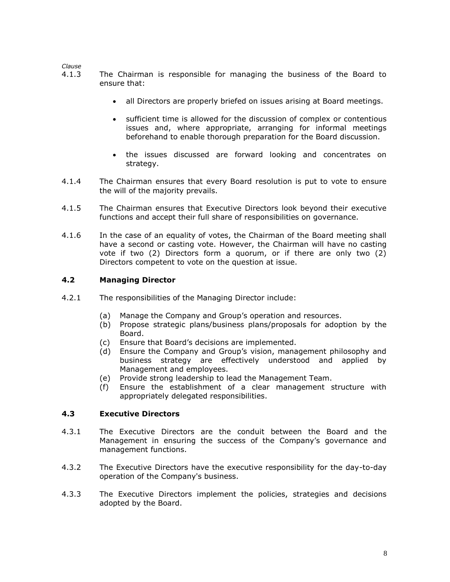- 4.1.3 The Chairman is responsible for managing the business of the Board to ensure that:
	- all Directors are properly briefed on issues arising at Board meetings.
	- sufficient time is allowed for the discussion of complex or contentious issues and, where appropriate, arranging for informal meetings beforehand to enable thorough preparation for the Board discussion.
	- the issues discussed are forward looking and concentrates on strategy.
- 4.1.4 The Chairman ensures that every Board resolution is put to vote to ensure the will of the majority prevails.
- 4.1.5 The Chairman ensures that Executive Directors look beyond their executive functions and accept their full share of responsibilities on governance.
- 4.1.6 In the case of an equality of votes, the Chairman of the Board meeting shall have a second or casting vote. However, the Chairman will have no casting vote if two (2) Directors form a quorum, or if there are only two (2) Directors competent to vote on the question at issue.

### **4.2 Managing Director**

- 4.2.1 The responsibilities of the Managing Director include:
	- (a) Manage the Company and Group's operation and resources.
	- (b) Propose strategic plans/business plans/proposals for adoption by the Board.
	- (c) Ensure that Board's decisions are implemented.
	- (d) Ensure the Company and Group's vision, management philosophy and business strategy are effectively understood and applied by Management and employees.
	- (e) Provide strong leadership to lead the Management Team.
	- (f) Ensure the establishment of a clear management structure with appropriately delegated responsibilities.

### **4.3 Executive Directors**

- 4.3.1 The Executive Directors are the conduit between the Board and the Management in ensuring the success of the Company's governance and management functions.
- 4.3.2 The Executive Directors have the executive responsibility for the day-to-day operation of the Company's business.
- 4.3.3 The Executive Directors implement the policies, strategies and decisions adopted by the Board.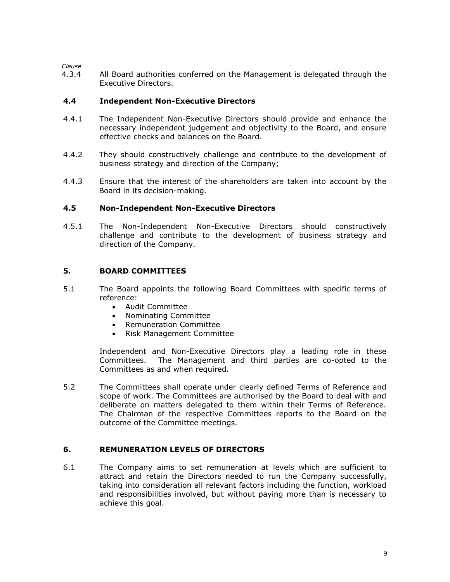4.3.4 All Board authorities conferred on the Management is delegated through the Executive Directors.

### **4.4 Independent Non-Executive Directors**

- 4.4.1 The Independent Non-Executive Directors should provide and enhance the necessary independent judgement and objectivity to the Board, and ensure effective checks and balances on the Board.
- 4.4.2 They should constructively challenge and contribute to the development of business strategy and direction of the Company;
- 4.4.3 Ensure that the interest of the shareholders are taken into account by the Board in its decision-making.

### **4.5 Non-Independent Non-Executive Directors**

4.5.1 The Non-Independent Non-Executive Directors should constructively challenge and contribute to the development of business strategy and direction of the Company.

### **5. BOARD COMMITTEES**

- 5.1 The Board appoints the following Board Committees with specific terms of reference:
	- Audit Committee
	- Nominating Committee
	- Remuneration Committee
	- Risk Management Committee

Independent and Non-Executive Directors play a leading role in these Committees. The Management and third parties are co-opted to the Committees as and when required.

5.2 The Committees shall operate under clearly defined Terms of Reference and scope of work. The Committees are authorised by the Board to deal with and deliberate on matters delegated to them within their Terms of Reference. The Chairman of the respective Committees reports to the Board on the outcome of the Committee meetings.

### **6. REMUNERATION LEVELS OF DIRECTORS**

6.1 The Company aims to set remuneration at levels which are sufficient to attract and retain the Directors needed to run the Company successfully, taking into consideration all relevant factors including the function, workload and responsibilities involved, but without paying more than is necessary to achieve this goal.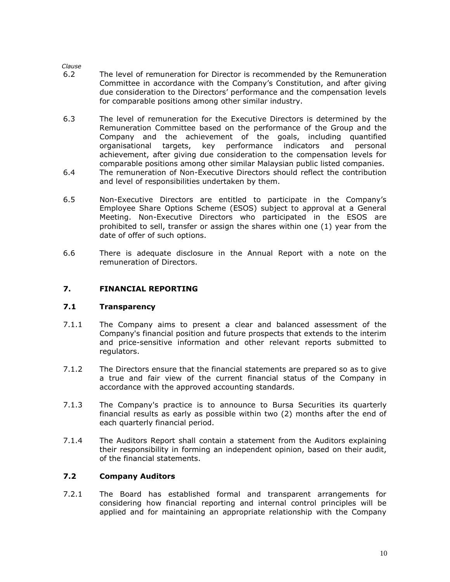- 6.2 The level of remuneration for Director is recommended by the Remuneration Committee in accordance with the Company's Constitution, and after giving due consideration to the Directors' performance and the compensation levels for comparable positions among other similar industry.
- 6.3 The level of remuneration for the Executive Directors is determined by the Remuneration Committee based on the performance of the Group and the Company and the achievement of the goals, including quantified organisational targets, key performance indicators and personal achievement, after giving due consideration to the compensation levels for comparable positions among other similar Malaysian public listed companies.
- 6.4 The remuneration of Non-Executive Directors should reflect the contribution and level of responsibilities undertaken by them.
- 6.5 Non-Executive Directors are entitled to participate in the Company's Employee Share Options Scheme (ESOS) subject to approval at a General Meeting. Non-Executive Directors who participated in the ESOS are prohibited to sell, transfer or assign the shares within one (1) year from the date of offer of such options.
- 6.6 There is adequate disclosure in the Annual Report with a note on the remuneration of Directors.

### **7. FINANCIAL REPORTING**

### **7.1 Transparency**

- 7.1.1 The Company aims to present a clear and balanced assessment of the Company's financial position and future prospects that extends to the interim and price-sensitive information and other relevant reports submitted to regulators.
- 7.1.2 The Directors ensure that the financial statements are prepared so as to give a true and fair view of the current financial status of the Company in accordance with the approved accounting standards.
- 7.1.3 The Company's practice is to announce to Bursa Securities its quarterly financial results as early as possible within two (2) months after the end of each quarterly financial period.
- 7.1.4 The Auditors Report shall contain a statement from the Auditors explaining their responsibility in forming an independent opinion, based on their audit, of the financial statements.

### **7.2 Company Auditors**

7.2.1 The Board has established formal and transparent arrangements for considering how financial reporting and internal control principles will be applied and for maintaining an appropriate relationship with the Company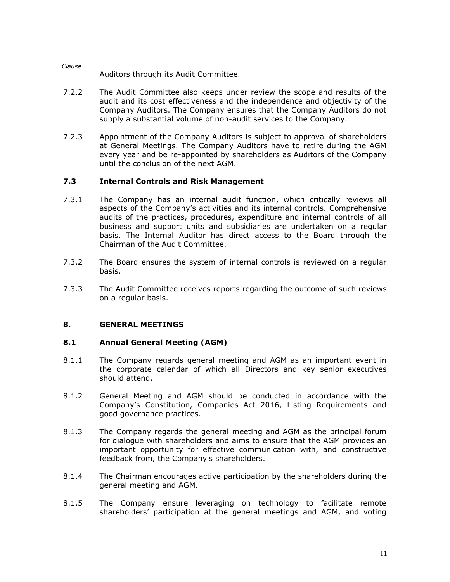Auditors through its Audit Committee.

*Clause*

- 7.2.2 The Audit Committee also keeps under review the scope and results of the audit and its cost effectiveness and the independence and objectivity of the Company Auditors. The Company ensures that the Company Auditors do not supply a substantial volume of non-audit services to the Company.
- 7.2.3 Appointment of the Company Auditors is subject to approval of shareholders at General Meetings. The Company Auditors have to retire during the AGM every year and be re-appointed by shareholders as Auditors of the Company until the conclusion of the next AGM.

# **7.3 Internal Controls and Risk Management**

- 7.3.1 The Company has an internal audit function, which critically reviews all aspects of the Company's activities and its internal controls. Comprehensive audits of the practices, procedures, expenditure and internal controls of all business and support units and subsidiaries are undertaken on a regular basis. The Internal Auditor has direct access to the Board through the Chairman of the Audit Committee.
- 7.3.2 The Board ensures the system of internal controls is reviewed on a regular basis.
- 7.3.3 The Audit Committee receives reports regarding the outcome of such reviews on a regular basis.

# **8. GENERAL MEETINGS**

# **8.1 Annual General Meeting (AGM)**

- 8.1.1 The Company regards general meeting and AGM as an important event in the corporate calendar of which all Directors and key senior executives should attend.
- 8.1.2 General Meeting and AGM should be conducted in accordance with the Company's Constitution, Companies Act 2016, Listing Requirements and good governance practices.
- 8.1.3 The Company regards the general meeting and AGM as the principal forum for dialogue with shareholders and aims to ensure that the AGM provides an important opportunity for effective communication with, and constructive feedback from, the Company's shareholders.
- 8.1.4 The Chairman encourages active participation by the shareholders during the general meeting and AGM.
- 8.1.5 The Company ensure leveraging on technology to facilitate remote shareholders' participation at the general meetings and AGM, and voting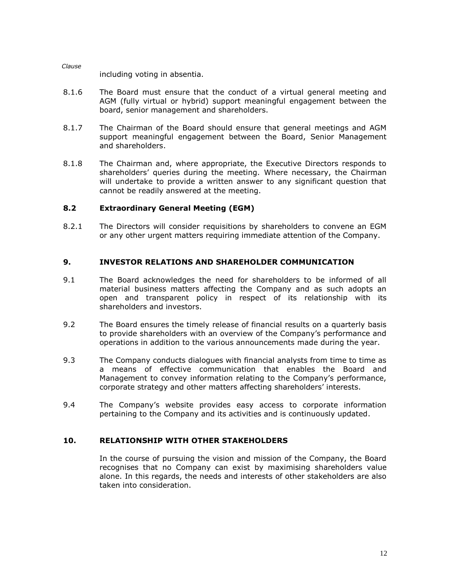including voting in absentia.

- 8.1.6 The Board must ensure that the conduct of a virtual general meeting and AGM (fully virtual or hybrid) support meaningful engagement between the board, senior management and shareholders.
- 8.1.7 The Chairman of the Board should ensure that general meetings and AGM support meaningful engagement between the Board, Senior Management and shareholders.
- 8.1.8 The Chairman and, where appropriate, the Executive Directors responds to shareholders' queries during the meeting. Where necessary, the Chairman will undertake to provide a written answer to any significant question that cannot be readily answered at the meeting.

### **8.2 Extraordinary General Meeting (EGM)**

8.2.1 The Directors will consider requisitions by shareholders to convene an EGM or any other urgent matters requiring immediate attention of the Company.

### **9. INVESTOR RELATIONS AND SHAREHOLDER COMMUNICATION**

- 9.1 The Board acknowledges the need for shareholders to be informed of all material business matters affecting the Company and as such adopts an open and transparent policy in respect of its relationship with its shareholders and investors.
- 9.2 The Board ensures the timely release of financial results on a quarterly basis to provide shareholders with an overview of the Company's performance and operations in addition to the various announcements made during the year.
- 9.3 The Company conducts dialogues with financial analysts from time to time as a means of effective communication that enables the Board and Management to convey information relating to the Company's performance, corporate strategy and other matters affecting shareholders' interests.
- 9.4 The Company's website provides easy access to corporate information pertaining to the Company and its activities and is continuously updated.

# **10. RELATIONSHIP WITH OTHER STAKEHOLDERS**

In the course of pursuing the vision and mission of the Company, the Board recognises that no Company can exist by maximising shareholders value alone. In this regards, the needs and interests of other stakeholders are also taken into consideration.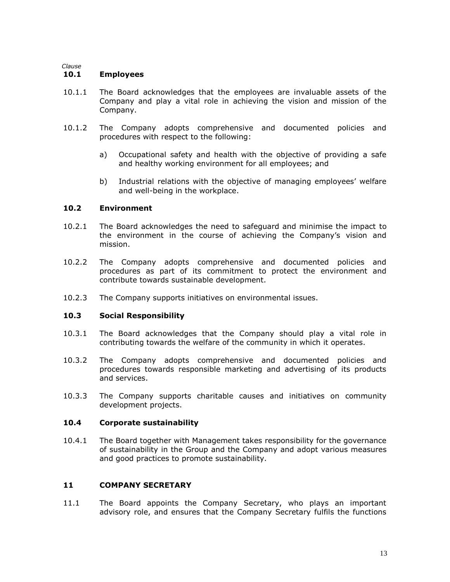### **10.1 Employees**

- 10.1.1 The Board acknowledges that the employees are invaluable assets of the Company and play a vital role in achieving the vision and mission of the Company.
- 10.1.2 The Company adopts comprehensive and documented policies and procedures with respect to the following:
	- a) Occupational safety and health with the objective of providing a safe and healthy working environment for all employees; and
	- b) Industrial relations with the objective of managing employees' welfare and well-being in the workplace.

### **10.2 Environment**

- 10.2.1 The Board acknowledges the need to safeguard and minimise the impact to the environment in the course of achieving the Company's vision and mission.
- 10.2.2 The Company adopts comprehensive and documented policies and procedures as part of its commitment to protect the environment and contribute towards sustainable development.
- 10.2.3 The Company supports initiatives on environmental issues.

# **10.3 Social Responsibility**

- 10.3.1 The Board acknowledges that the Company should play a vital role in contributing towards the welfare of the community in which it operates.
- 10.3.2 The Company adopts comprehensive and documented policies and procedures towards responsible marketing and advertising of its products and services.
- 10.3.3 The Company supports charitable causes and initiatives on community development projects.

# **10.4 Corporate sustainability**

10.4.1 The Board together with Management takes responsibility for the governance of sustainability in the Group and the Company and adopt various measures and good practices to promote sustainability.

# **11 COMPANY SECRETARY**

11.1 The Board appoints the Company Secretary, who plays an important advisory role, and ensures that the Company Secretary fulfils the functions